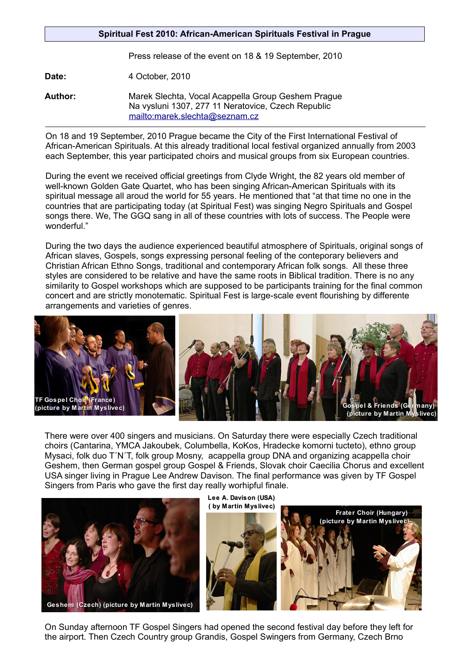## **Spiritual Fest 2010: African-American Spirituals Festival in Prague**

Press release of the event on 18 & 19 September, 2010

**Date:** 4 October, 2010

**Geshem (Czech) (picture by Martin Myslivec)**

**Author:** Marek Slechta, Vocal Acappella Group Geshem Prague Na vysluni 1307, 277 11 Neratovice, Czech Republic <mailto:marek.slechta@seznam.cz>

On 18 and 19 September, 2010 Prague became the City of the First International Festival of African-American Spirituals. At this already traditional local festival organized annually from 2003 each September, this year participated choirs and musical groups from six European countries.

During the event we received official greetings from Clyde Wright, the 82 years old member of well-known Golden Gate Quartet, who has been singing African-American Spirituals with its spiritual message all aroud the world for 55 years. He mentioned that "at that time no one in the countries that are participating today (at Spiritual Fest) was singing Negro Spirituals and Gospel songs there. We, The GGQ sang in all of these countries with lots of success. The People were wonderful."

During the two days the audience experienced beautiful atmosphere of Spirituals, original songs of African slaves, Gospels, songs expressing personal feeling of the conteporary believers and Christian African Ethno Songs, traditional and contemporary African folk songs. All these three styles are considered to be relative and have the same roots in Biblical tradition. There is no any similarity to Gospel workshops which are supposed to be participants training for the final common concert and are strictly monotematic. Spiritual Fest is large-scale event flourishing by differente arrangements and varieties of genres.



There were over 400 singers and musicians. On Saturday there were especially Czech traditional choirs (Cantarina, YMCA Jakoubek, Columbella, KoKos, Hradecke komorni tucteto), ethno group Mysaci, folk duo T´N´T, folk group Mosny, acappella group DNA and organizing acappella choir Geshem, then German gospel group Gospel & Friends, Slovak choir Caecilia Chorus and excellent USA singer living in Prague Lee Andrew Davison. The final performance was given by TF Gospel Singers from Paris who gave the first day really worhipful finale.

> **Lee A. Davison (USA) ( by Martin Myslivec)**



On Sunday afternoon TF Gospel Singers had opened the second festival day before they left for the airport. Then Czech Country group Grandis, Gospel Swingers from Germany, Czech Brno